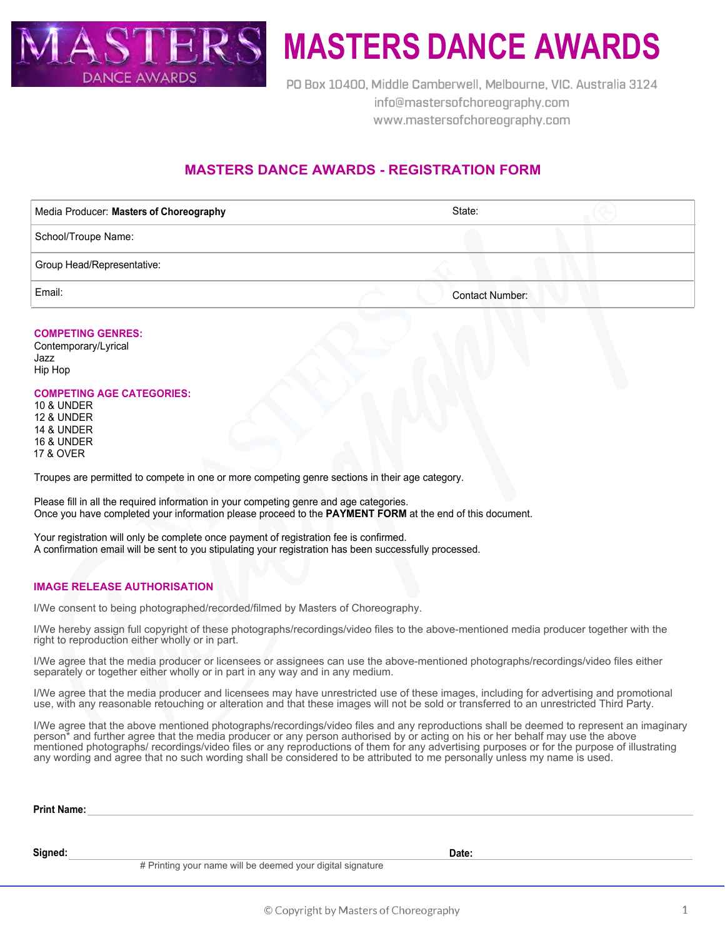

# **MASTERS DANCE AWARDS**

**PO Box 10400, Middle Camberwell, Melbourne, VIC. Australia 3124 info@mastersofchoreography.com www.mastersofchoreography.com** 

## **MASTERS DANCE AWARDS - REGISTRATION FORM**

| Media Producer: Masters of Choreography | State:                 |  |
|-----------------------------------------|------------------------|--|
| School/Troupe Name:                     |                        |  |
| Group Head/Representative:              |                        |  |
| Email:                                  | <b>Contact Number:</b> |  |

#### **COMPETING GENRES:**

Contemporary/Lyrical Jazz Hip Hop

#### **COMPETING AGE CATEGORIES:**

10 & UNDER 12 & UNDER 14 & UNDER 16 & UNDER 17 & OVER

Troupes are permitted to compete in one or more competing genre sections in their age category.

Please fill in all the required information in your competing genre and age categories. Once you have completed your information please proceed to the **PAYMENT FORM** at the end of this document.

Your registration will only be complete once payment of registration fee is confirmed. A confirmation email will be sent to you stipulating your registration has been successfully processed.

#### **IMAGE RELEASE AUTHORISATION**

I/We consent to being photographed/recorded/filmed by Masters of Choreography.

I/We hereby assign full copyright of these photographs/recordings/video files to the above-mentioned media producer together with the right to reproduction either wholly or in part.

I/We agree that the media producer or licensees or assignees can use the above-mentioned photographs/recordings/video files either separately or together either wholly or in part in any way and in any medium.

I/We agree that the media producer and licensees may have unrestricted use of these images, including for advertising and promotional use, with any reasonable retouching or alteration and that these images will not be sold or transferred to an unrestricted Third Party.

I/We agree that the above mentioned photographs/recordings/video files and any reproductions shall be deemed to represent an imaginary person\* and further agree that the media producer or any person authorised by or acting on his or her behalf may use the above mentioned photographs/ recordings/video files or any reproductions of them for any advertising purposes or for the purpose of illustrating any wording and agree that no such wording shall be considered to be attributed to me personally unless my name is used.

| <b>Print Name:</b> |  |  |  |  |
|--------------------|--|--|--|--|
|                    |  |  |  |  |
|                    |  |  |  |  |

**Signed: Date:**

# Printing your name will be deemed your digital signature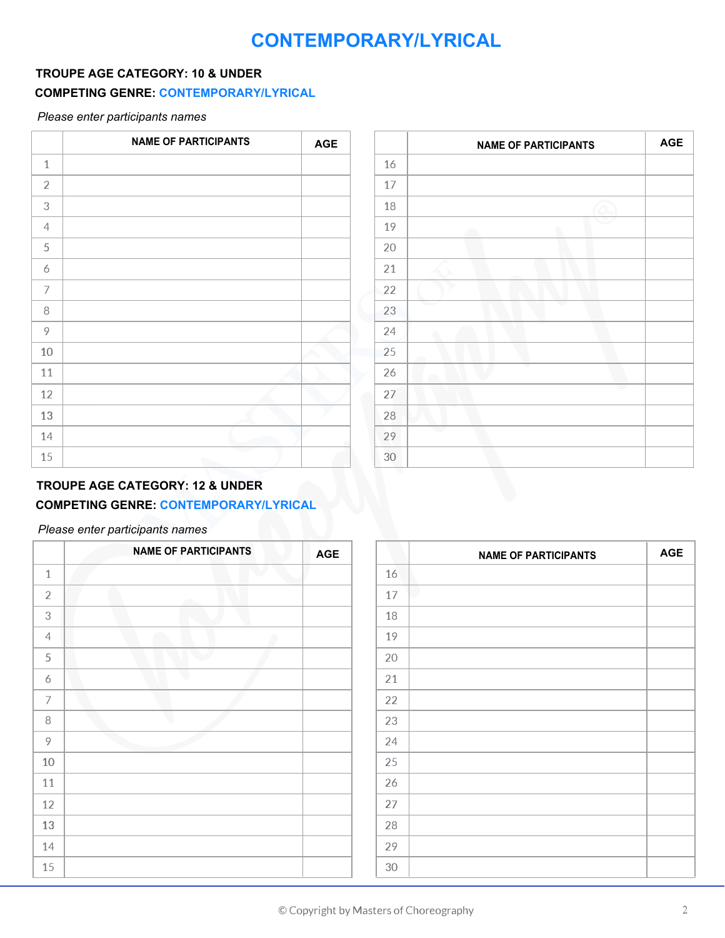## **CONTEMPORARY/LYRICAL**

## **TROUPE AGE CATEGORY: 10 & UNDER**

## **COMPETING GENRE: CONTEMPORARY/LYRICAL**

*Please enter participants names*

|                | <b>NAME OF PARTICIPANTS</b> | <b>AGE</b> |    | <b>NAME OF PARTICIPANTS</b> |
|----------------|-----------------------------|------------|----|-----------------------------|
| $\mathbf{1}$   |                             |            | 16 |                             |
| $\overline{2}$ |                             |            | 17 |                             |
| $\sqrt{3}$     |                             |            | 18 |                             |
| $\overline{4}$ |                             |            | 19 | œ                           |
| 5              |                             |            | 20 |                             |
| 6              |                             |            | 21 |                             |
| $\overline{ }$ |                             |            | 22 |                             |
| 8              |                             |            | 23 | ÷                           |
| 9              |                             |            | 24 |                             |
| 10             |                             |            | 25 |                             |
| 11             |                             |            | 26 |                             |
| 12             |                             |            | 27 |                             |
| 13             |                             |            | 28 |                             |
| 14             |                             |            | 29 |                             |
| 15             |                             |            | 30 |                             |

|    | <b>NAME OF PARTICIPANTS</b> | <b>AGE</b> |
|----|-----------------------------|------------|
| 16 |                             |            |
| 17 |                             |            |
| 18 |                             |            |
| 19 |                             |            |
| 20 |                             |            |
| 21 |                             |            |
| 22 |                             |            |
| 23 |                             |            |
| 24 |                             |            |
| 25 |                             |            |
| 26 |                             |            |
| 27 |                             |            |
| 28 |                             |            |
| 29 |                             |            |
| 30 |                             |            |

## **TROUPE AGE CATEGORY: 12 & UNDER**

## **COMPETING GENRE: CONTEMPORARY/LYRICAL**

|                | <b>NAME OF PARTICIPANTS</b> | <b>AGE</b> |        | <b>NAME OF PARTICIPANTS</b> | <b>AGE</b> |
|----------------|-----------------------------|------------|--------|-----------------------------|------------|
| $\mathbf{1}$   |                             |            | 16     |                             |            |
| $\overline{2}$ |                             |            | 17     |                             |            |
| 3              |                             |            | 18     |                             |            |
| $\overline{4}$ |                             |            | 19     |                             |            |
| 5              |                             |            | 20     |                             |            |
| 6              |                             |            | 21     |                             |            |
| $\overline{7}$ |                             |            | 22     |                             |            |
| 8              |                             |            | 23     |                             |            |
| 9              |                             |            | 24     |                             |            |
| 10             |                             |            | 25     |                             |            |
| 11             |                             |            | 26     |                             |            |
| 12             |                             |            | 27     |                             |            |
| 13             |                             |            | 28     |                             |            |
| 14             |                             |            | 29     |                             |            |
| 15             |                             |            | $30\,$ |                             |            |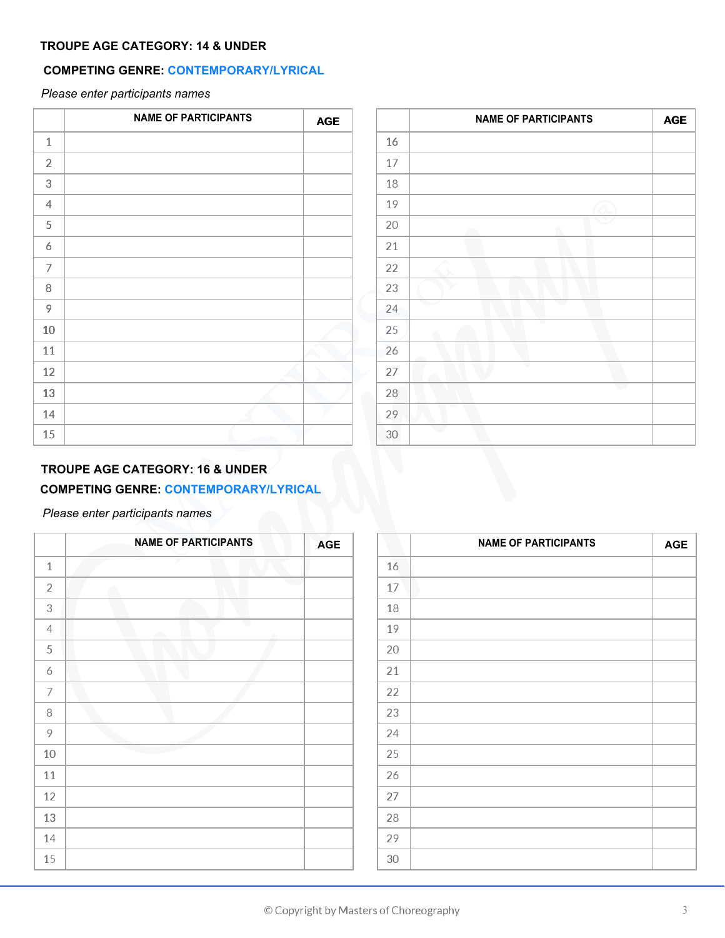## **TROUPE AGE CATEGORY: 14 & UNDER**

## **COMPETING GENRE: CONTEMPORARY/LYRICAL**

*Please enter participants names*

|                | <b>NAME OF PARTICIPANTS</b> | <b>AGE</b> |
|----------------|-----------------------------|------------|
| $\mathbf{1}$   |                             |            |
| $\overline{2}$ |                             |            |
| 3              |                             |            |
| 4              |                             |            |
| 5              |                             |            |
| 6              |                             |            |
| $\overline{7}$ |                             |            |
| 8              |                             |            |
| 9              |                             |            |
| $10\,$         |                             |            |
| 11             |                             |            |
| 12             |                             |            |
| 13             |                             |            |
| 14             |                             |            |
| 15             |                             |            |

| <b>NAME OF PARTICIPANTS</b> | $\mathsf{AGE}$ |    | <b>NAME OF PARTICIPANTS</b> | AGE |
|-----------------------------|----------------|----|-----------------------------|-----|
|                             |                | 16 |                             |     |
|                             |                | 17 |                             |     |
|                             |                | 18 |                             |     |
|                             |                | 19 |                             |     |
|                             |                | 20 |                             |     |
|                             |                | 21 |                             |     |
|                             |                | 22 |                             |     |
|                             |                | 23 |                             |     |
|                             |                | 24 | ∽                           |     |
|                             |                | 25 |                             |     |
|                             |                | 26 |                             |     |
|                             |                | 27 |                             |     |
|                             |                | 28 |                             |     |
|                             |                | 29 |                             |     |
|                             |                | 30 |                             |     |

## **TROUPE AGE CATEGORY: 16 & UNDER**

## **COMPETING GENRE: CONTEMPORARY/LYRICAL**

|                | <b>NAME OF PARTICIPANTS</b> | <b>AGE</b> |
|----------------|-----------------------------|------------|
| $\mathbf{1}$   |                             |            |
| $\sqrt{2}$     |                             |            |
| 3              |                             |            |
| $\overline{4}$ | i.                          |            |
| $\mathsf S$    |                             |            |
| 6              |                             |            |
| $\overline{ }$ |                             |            |
| 8              |                             |            |
| 9              |                             |            |
| 10             |                             |            |
| 11             |                             |            |
| 12             |                             |            |
| 13             |                             |            |
| 14             |                             |            |
| 15             |                             |            |

| <b>NAME OF PARTICIPANTS</b> | <b>AGE</b> |        | <b>NAME OF PARTICIPANTS</b> | <b>AGE</b> |
|-----------------------------|------------|--------|-----------------------------|------------|
|                             |            | 16     |                             |            |
|                             |            | 17     |                             |            |
|                             |            | 18     |                             |            |
| œ                           |            | 19     |                             |            |
|                             |            | 20     |                             |            |
|                             |            | 21     |                             |            |
|                             |            | 22     |                             |            |
|                             |            | 23     |                             |            |
|                             |            | 24     |                             |            |
|                             |            | 25     |                             |            |
|                             |            | 26     |                             |            |
|                             |            | 27     |                             |            |
|                             |            | 28     |                             |            |
|                             |            | 29     |                             |            |
|                             |            | $30\,$ |                             |            |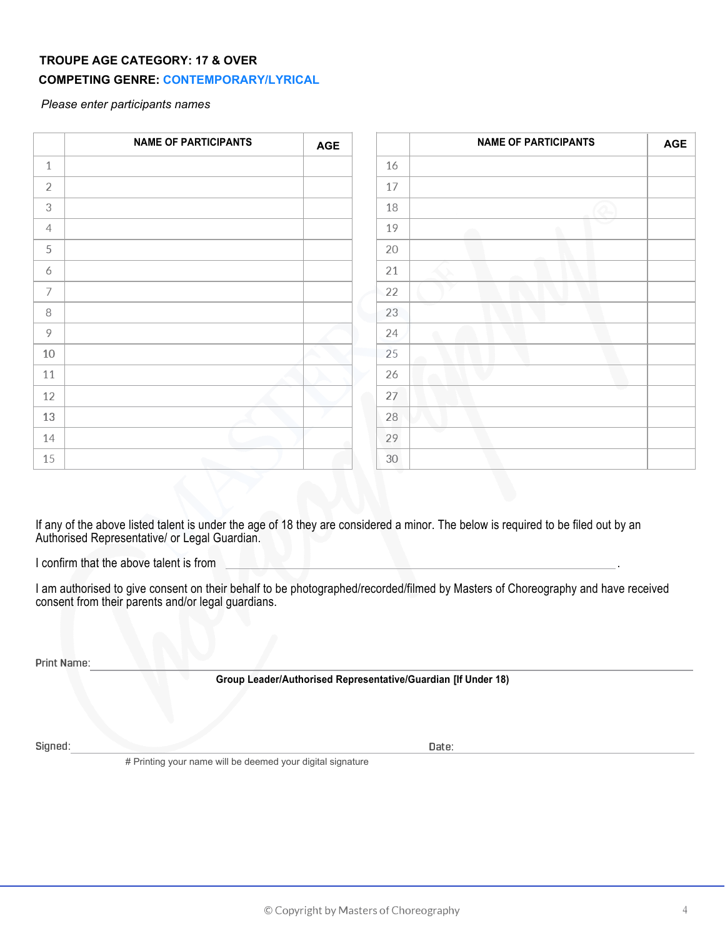#### **TROUPE AGE CATEGORY: 17 & OVER**

#### **COMPETING GENRE: CONTEMPORARY/LYRICAL**

*Please enter participants names*

|                | <b>NAME OF PARTICIPANTS</b> | <b>AGE</b> |    | <b>NAME OF PARTICIPANTS</b> | <b>AGE</b> |
|----------------|-----------------------------|------------|----|-----------------------------|------------|
| $\mathbf{1}$   |                             |            | 16 |                             |            |
| $\overline{2}$ |                             |            | 17 |                             |            |
| $\mathfrak{Z}$ |                             |            | 18 |                             |            |
| $\overline{4}$ |                             |            | 19 | ∽                           |            |
| 5              |                             |            | 20 |                             |            |
| 6              |                             |            | 21 |                             |            |
| 7              |                             |            | 22 |                             |            |
| 8              |                             |            | 23 |                             |            |
| 9              |                             |            | 24 | ∩                           |            |
| 10             |                             |            | 25 |                             |            |
| 11             |                             |            | 26 |                             |            |
| 12             |                             |            | 27 |                             |            |
| 13             |                             |            | 28 |                             |            |
| 14             |                             |            | 29 |                             |            |
| 15             |                             |            | 30 |                             |            |

If any of the above listed talent is under the age of 18 they are considered a minor. The below is required to be filed out by an Authorised Representative/ or Legal Guardian.

I confirm that the above talent is from

I am authorised to give consent on their behalf to be photographed/recorded/filmed by Masters of Choreography and have received consent from their parents and/or legal guardians.

**Print Name:**

**Group Leader/Authorised Representative/Guardian [If Under 18)**

**Signed: Date:** 

# Printing your name will be deemed your digital signature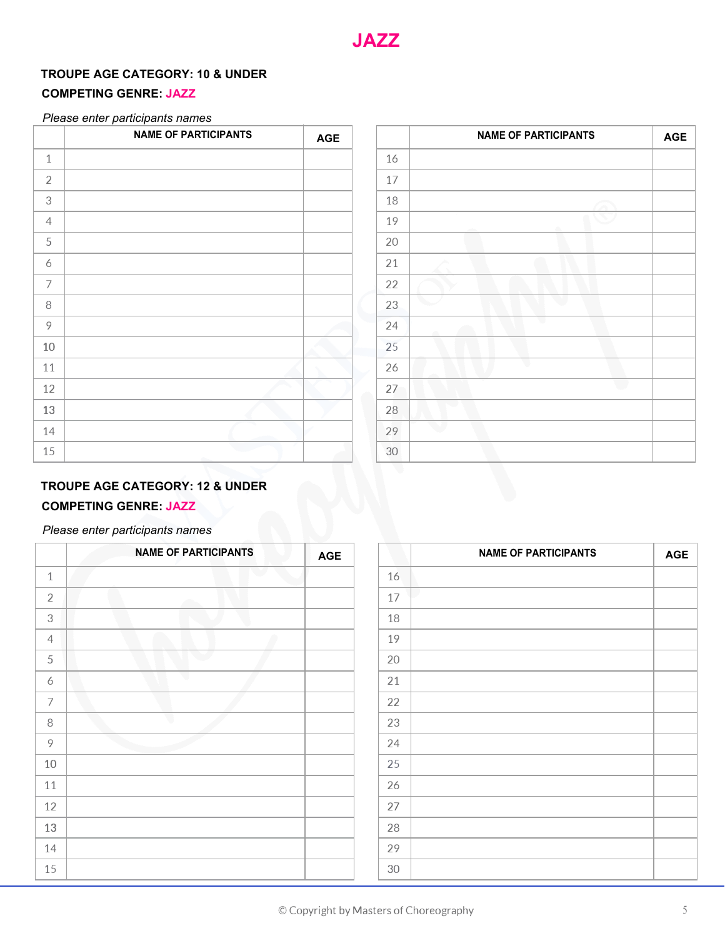## **TROUPE AGE CATEGORY: 10 & UNDER**

## **COMPETING GENRE: JAZZ**

#### *Please enter participants names*

|                | <b>NAME OF PARTICIPANTS</b> | AGE |
|----------------|-----------------------------|-----|
| $\mathbf{1}$   |                             |     |
| $\sqrt{2}$     |                             |     |
| $\,3$          |                             |     |
| $\overline{4}$ |                             |     |
| $\mathsf S$    |                             |     |
| 6              |                             |     |
| 7              |                             |     |
| 8              |                             |     |
| 9              |                             |     |
| $10\,$         |                             |     |
| 11             |                             |     |
| 12             |                             |     |
| 13             |                             |     |
| 14             |                             |     |
| 15             |                             |     |

| <b>NAME OF PARTICIPANTS</b> | <b>AGE</b> |        | <b>NAME OF PARTICIPANTS</b> | <b>AGE</b> |
|-----------------------------|------------|--------|-----------------------------|------------|
|                             |            | 16     |                             |            |
|                             |            | 17     |                             |            |
|                             |            | 18     |                             |            |
|                             |            | 19     |                             |            |
|                             |            | 20     |                             |            |
|                             |            | 21     |                             |            |
|                             |            | 22     |                             |            |
|                             |            | 23     |                             |            |
|                             |            | 24     |                             |            |
|                             |            | 25     |                             |            |
|                             |            | 26     |                             |            |
|                             |            | 27     |                             |            |
|                             |            | 28     |                             |            |
|                             |            | 29     |                             |            |
|                             |            | $30\,$ |                             |            |

## **TROUPE AGE CATEGORY: 12 & UNDER**

## **COMPETING GENRE: JAZZ**

|                | <b>NAME OF PARTICIPANTS</b> | <b>AGE</b> |    | <b>NAME OF PARTICIPANTS</b> | <b>AGE</b> |
|----------------|-----------------------------|------------|----|-----------------------------|------------|
| $\mathbf{1}$   |                             |            | 16 |                             |            |
| $\overline{2}$ |                             |            | 17 |                             |            |
| 3              |                             |            | 18 |                             |            |
| $\overline{4}$ |                             |            | 19 |                             |            |
| 5              |                             |            | 20 |                             |            |
| 6              |                             |            | 21 |                             |            |
| 7              |                             |            | 22 |                             |            |
| 8              |                             |            | 23 |                             |            |
| 9              |                             |            | 24 |                             |            |
| 10             |                             |            | 25 |                             |            |
| 11             |                             |            | 26 |                             |            |
| 12             |                             |            | 27 |                             |            |
| 13             |                             |            | 28 |                             |            |
| 14             |                             |            | 29 |                             |            |
| 15             |                             |            | 30 |                             |            |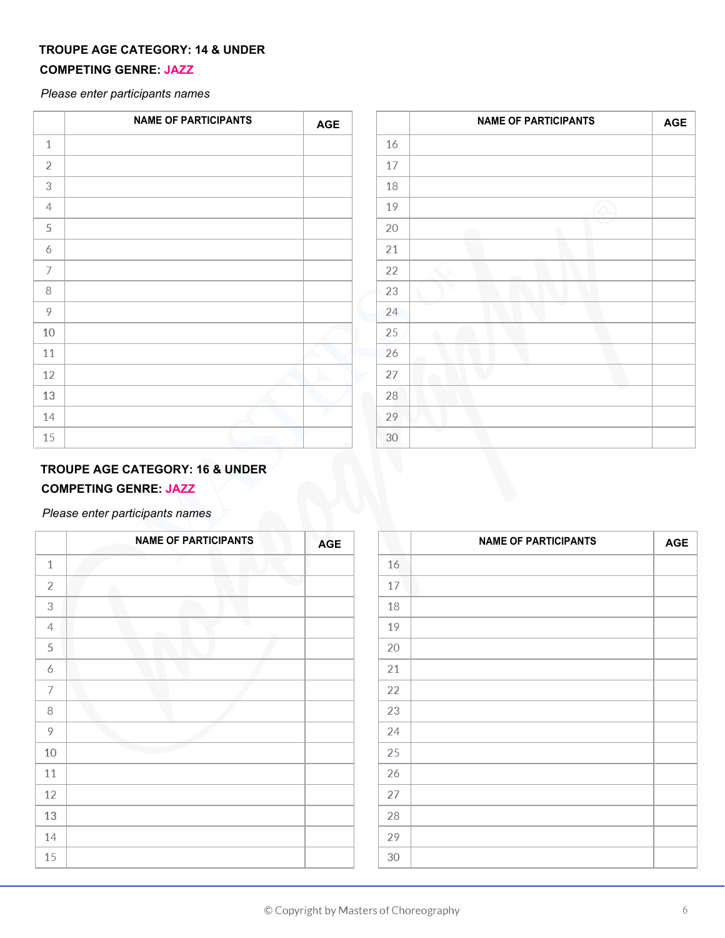## **TROUPE AGE CATEGORY: 14 & UNDER**

## **COMPETING GENRE: JAZZ**

*Please enter participants names*

|                | <b>NAME OF PARTICIPANTS</b> | <b>AGE</b> |         | <b>NAME OF PARTICIPANTS</b> | <b>AGE</b> |
|----------------|-----------------------------|------------|---------|-----------------------------|------------|
| $\mathbf{1}$   |                             |            | 16      |                             |            |
| $\overline{2}$ |                             |            | 17      |                             |            |
| 3              |                             |            | 18      |                             |            |
| $\overline{4}$ |                             |            | 19      |                             |            |
| 5              |                             |            | 20      | سند                         |            |
| 6              |                             |            | 21      |                             |            |
| 7              |                             |            | 22      |                             |            |
| 8              |                             |            | 23      |                             |            |
| 9              |                             |            | 24      |                             |            |
| 10             |                             |            | 25      |                             |            |
| 11             |                             |            | 26      |                             |            |
| 12             |                             |            | 27      |                             |            |
| 13             |                             |            | 28<br>œ |                             |            |
| 14             |                             |            | 29      |                             |            |
| 15             |                             |            | 30      |                             |            |

## **TROUPE AGE CATEGORY: 16 & UNDER COMPETING GENRE: JAZZ**

|                | <b>NAME OF PARTICIPANTS</b> | <b>AGE</b> |
|----------------|-----------------------------|------------|
| $\,1\,$        |                             |            |
| $\sqrt{2}$     |                             |            |
| 3              |                             |            |
| $\overline{4}$ | e.                          |            |
| $\mathsf S$    |                             |            |
| 6              |                             |            |
| 7              |                             |            |
| 8              |                             |            |
| 9              |                             |            |
| 10             |                             |            |
| 11             |                             |            |
| 12             |                             |            |
| 13             |                             |            |
| 14             |                             |            |
| 15             |                             |            |

| <b>NAME OF PARTICIPANTS</b> | <b>AGE</b> |    | <b>NAME OF PARTICIPANTS</b> | <b>AGE</b> |
|-----------------------------|------------|----|-----------------------------|------------|
|                             |            | 16 |                             |            |
|                             |            | 17 |                             |            |
|                             |            | 18 |                             |            |
|                             |            | 19 |                             |            |
|                             |            | 20 |                             |            |
|                             |            | 21 |                             |            |
|                             |            | 22 |                             |            |
|                             |            | 23 |                             |            |
|                             |            | 24 |                             |            |
|                             |            | 25 |                             |            |
|                             |            | 26 |                             |            |
|                             |            | 27 |                             |            |
|                             |            | 28 |                             |            |
|                             |            | 29 |                             |            |
|                             |            | 30 |                             |            |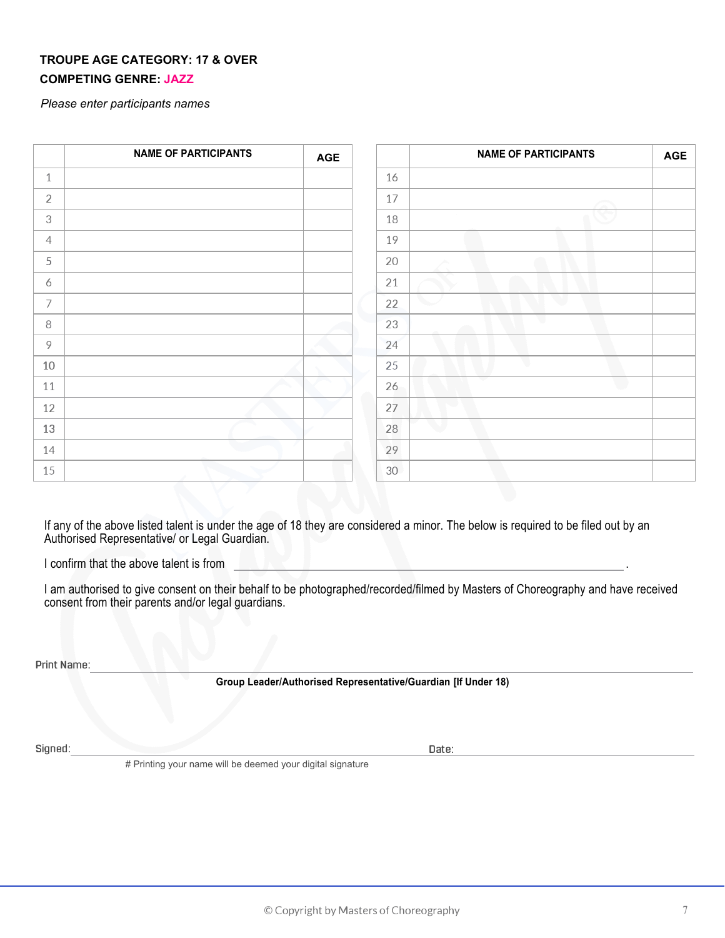## **TROUPE AGE CATEGORY: 17 & OVER COMPETING GENRE: JAZZ**

*Please enter participants names*

|                | <b>NAME OF PARTICIPANTS</b> | <b>AGE</b> |    | <b>NAME OF PARTICIPANTS</b> | <b>AGE</b> |
|----------------|-----------------------------|------------|----|-----------------------------|------------|
| $\mathbf{1}$   |                             |            | 16 |                             |            |
| 2              |                             |            | 17 |                             |            |
| $\sqrt{3}$     |                             |            | 18 |                             |            |
| $\overline{4}$ |                             |            | 19 |                             |            |
| 5              |                             |            | 20 |                             |            |
| 6              |                             |            | 21 |                             |            |
| 7              |                             |            | 22 |                             |            |
| 8              |                             |            | 23 |                             |            |
| 9              |                             |            | 24 |                             |            |
| 10             |                             |            | 25 |                             |            |
| 11             |                             |            | 26 |                             |            |
| 12             |                             |            | 27 |                             |            |
| 13             |                             |            | 28 |                             |            |
| 14             |                             |            | 29 |                             |            |
| 15             |                             |            | 30 |                             |            |

If any of the above listed talent is under the age of 18 they are considered a minor. The below is required to be filed out by an Authorised Representative/ or Legal Guardian.

I confirm that the above talent is from .

I am authorised to give consent on their behalf to be photographed/recorded/filmed by Masters of Choreography and have received consent from their parents and/or legal guardians.

**Print Name:**

**Group Leader/Authorised Representative/Guardian [If Under 18)**

**Signed: Date:** 

# Printing your name will be deemed your digital signature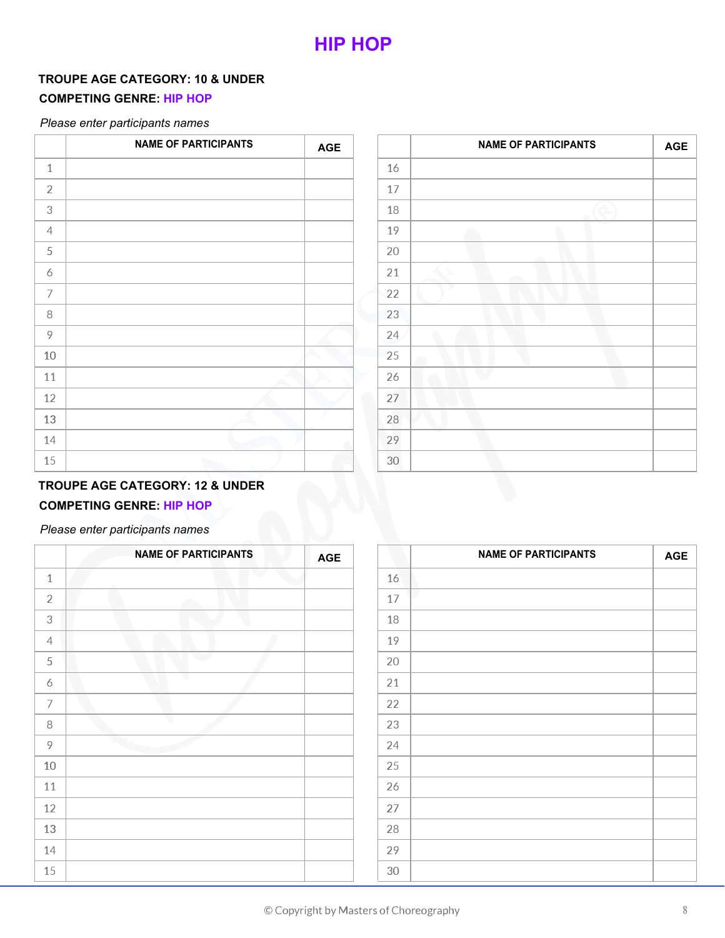## **TROUPE AGE CATEGORY: 10 & UNDER**

## **COMPETING GENRE: HIP HOP**

## *Please enter participants names*

|                | <b>NAME OF PARTICIPANTS</b> | <b>AGE</b> |
|----------------|-----------------------------|------------|
| $\,1\,$        |                             |            |
| $\overline{2}$ |                             |            |
| 3              |                             |            |
| $\overline{4}$ |                             |            |
| $\mathsf S$    |                             |            |
| 6              |                             |            |
| $\overline{ }$ |                             |            |
| 8              |                             |            |
| 9              |                             |            |
| $10\,$         |                             |            |
| 11             |                             |            |
| 12             |                             |            |
| 13             |                             |            |
| 14             |                             |            |
| 15             |                             |            |

| <b>NAME OF PARTICIPANTS</b> | <b>AGE</b> |    | <b>NAME OF PARTICIPANTS</b> | <b>AGE</b> |
|-----------------------------|------------|----|-----------------------------|------------|
|                             |            | 16 |                             |            |
|                             |            | 17 |                             |            |
|                             |            | 18 |                             |            |
|                             |            | 19 |                             |            |
|                             |            | 20 |                             |            |
|                             |            | 21 |                             |            |
|                             |            | 22 |                             |            |
|                             |            | 23 |                             |            |
|                             |            | 24 |                             |            |
|                             |            | 25 |                             |            |
|                             |            | 26 |                             |            |
|                             |            | 27 |                             |            |
|                             |            | 28 |                             |            |
|                             |            | 29 |                             |            |
|                             |            | 30 |                             |            |

## **TROUPE AGE CATEGORY: 12 & UNDER COMPETING GENRE: HIP HOP**

|                | <b>NAME OF PARTICIPANTS</b> | <b>AGE</b> |    | <b>NAME OF PARTICIPANTS</b> | <b>AGE</b> |
|----------------|-----------------------------|------------|----|-----------------------------|------------|
| $\mathbf 1$    |                             |            | 16 |                             |            |
| $\overline{2}$ |                             |            | 17 |                             |            |
| $\mathfrak{Z}$ |                             |            | 18 |                             |            |
| $\overline{4}$ |                             |            | 19 |                             |            |
| 5              |                             |            | 20 |                             |            |
| 6              | w                           |            | 21 |                             |            |
| $\overline{7}$ |                             |            | 22 |                             |            |
| 8              |                             |            | 23 |                             |            |
| $\overline{9}$ |                             |            | 24 |                             |            |
| 10             |                             |            | 25 |                             |            |
| 11             |                             |            | 26 |                             |            |
| 12             |                             |            | 27 |                             |            |
| 13             |                             |            | 28 |                             |            |
| 14             |                             |            | 29 |                             |            |
| 15             |                             |            | 30 |                             |            |

|        | <b>NAME OF PARTICIPANTS</b> | <b>AGE</b> |
|--------|-----------------------------|------------|
| 16     |                             |            |
| $17\,$ | ٦                           |            |
| 18     |                             |            |
| 19     |                             |            |
| 20     |                             |            |
| 21     |                             |            |
| 22     |                             |            |
| 23     |                             |            |
| 24     |                             |            |
| 25     |                             |            |
| 26     |                             |            |
| 27     |                             |            |
| 28     |                             |            |
| 29     |                             |            |
| 30     |                             |            |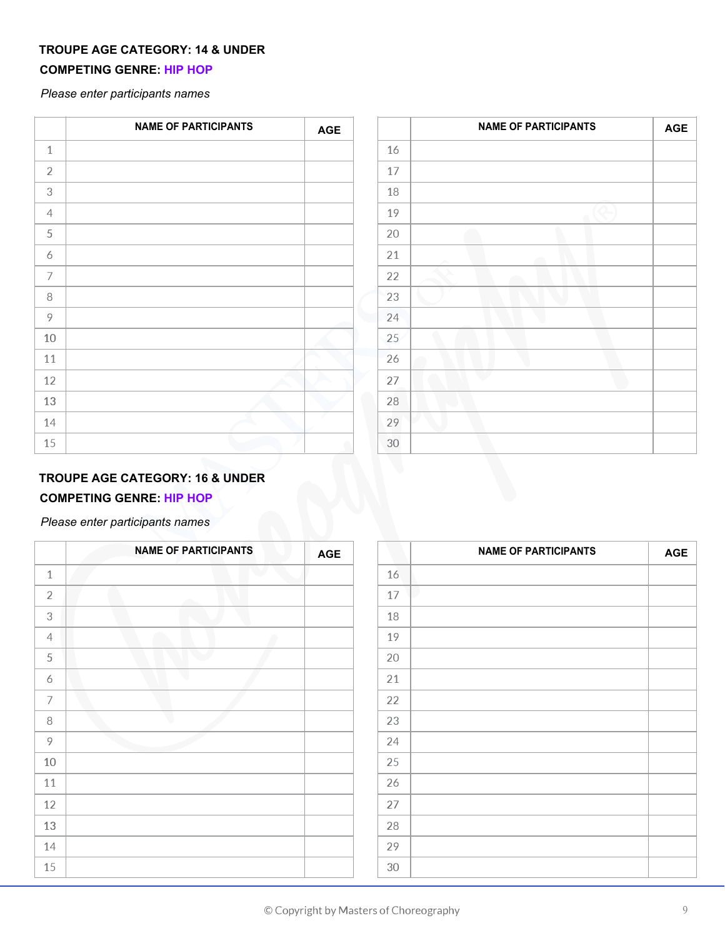## **TROUPE AGE CATEGORY: 14 & UNDER**

## **COMPETING GENRE: HIP HOP**

*Please enter participants names*

|                           | <b>NAME OF PARTICIPANTS</b> | <b>AGE</b> |
|---------------------------|-----------------------------|------------|
| $\mathbf{1}$              |                             |            |
| $\overline{2}$            |                             |            |
| $\ensuremath{\mathsf{3}}$ |                             |            |
| $\overline{4}$            |                             |            |
| $\mathsf S$               |                             |            |
| 6                         |                             |            |
| $\overline{ }$            |                             |            |
| 8                         |                             |            |
| 9                         |                             |            |
| 10                        |                             |            |
| 11                        |                             |            |
| 12                        |                             |            |
| 13                        |                             |            |
| 14                        |                             |            |
| 15                        |                             |            |

| <b>NAME OF PARTICIPANTS</b> | <b>AGE</b> |    | <b>NAME OF PARTICIPANTS</b> | <b>AGE</b> |
|-----------------------------|------------|----|-----------------------------|------------|
|                             |            | 16 |                             |            |
|                             |            | 17 |                             |            |
|                             |            | 18 |                             |            |
|                             |            | 19 |                             |            |
|                             |            | 20 |                             |            |
|                             |            | 21 |                             |            |
|                             |            | 22 |                             |            |
|                             |            | 23 |                             |            |
|                             |            | 24 |                             |            |
|                             |            | 25 |                             |            |
|                             |            | 26 |                             |            |
|                             |            | 27 |                             |            |
|                             |            | 28 |                             |            |
|                             |            | 29 |                             |            |
|                             |            | 30 |                             |            |

## **TROUPE AGE CATEGORY: 16 & UNDER**

## **COMPETING GENRE: HIP HOP**

|                | <b>NAME OF PARTICIPANTS</b> | <b>AGE</b> |    | <b>NAME OF PARTICIPANTS</b> | <b>AGE</b> |
|----------------|-----------------------------|------------|----|-----------------------------|------------|
| $\mathbf{1}$   |                             |            | 16 |                             |            |
| $\overline{2}$ |                             |            | 17 |                             |            |
| $\mathfrak{Z}$ |                             |            | 18 |                             |            |
| $\overline{4}$ |                             |            | 19 |                             |            |
| 5              |                             |            | 20 |                             |            |
| 6              |                             |            | 21 |                             |            |
| 7              |                             |            | 22 |                             |            |
| 8              |                             |            | 23 |                             |            |
| 9              |                             |            | 24 |                             |            |
| 10             |                             |            | 25 |                             |            |
| 11             |                             |            | 26 |                             |            |
| 12             |                             |            | 27 |                             |            |
| 13             |                             |            | 28 |                             |            |
| 14             |                             |            | 29 |                             |            |
| 15             |                             |            | 30 |                             |            |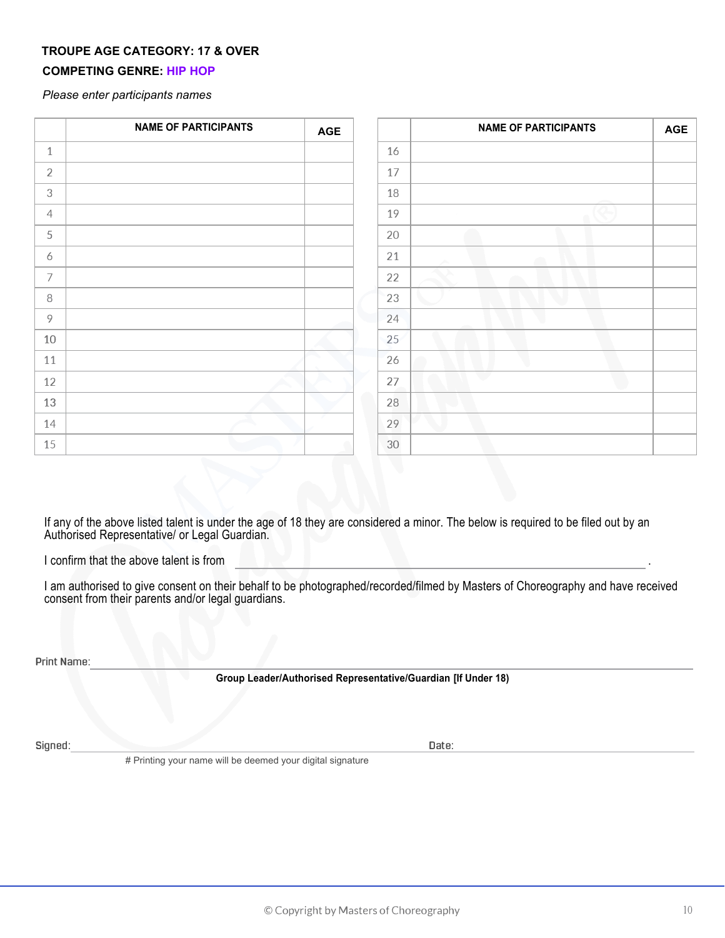## **TROUPE AGE CATEGORY: 17 & OVER**

## **COMPETING GENRE: HIP HOP**

*Please enter participants names*

|                | <b>NAME OF PARTICIPANTS</b> | <b>AGE</b> |    | <b>NAME OF PARTICIPANTS</b> | <b>AGE</b> |
|----------------|-----------------------------|------------|----|-----------------------------|------------|
| $\mathbf{1}$   |                             |            | 16 |                             |            |
| $\overline{2}$ |                             |            | 17 |                             |            |
| $\mathfrak{Z}$ |                             |            | 18 |                             |            |
| $\overline{4}$ |                             |            | 19 |                             |            |
| 5              |                             |            | 20 |                             |            |
| 6              |                             |            | 21 |                             |            |
| 7              |                             |            | 22 |                             |            |
| 8              |                             |            | 23 |                             |            |
| 9              |                             |            | 24 |                             |            |
| 10             |                             |            | 25 |                             |            |
| 11             |                             |            | 26 |                             |            |
| 12             |                             |            | 27 |                             |            |
| 13             |                             |            | 28 |                             |            |
| 14             |                             |            | 29 |                             |            |
| 15             |                             |            | 30 |                             |            |

If any of the above listed talent is under the age of 18 they are considered a minor. The below is required to be filed out by an Authorised Representative/ or Legal Guardian.

I confirm that the above talent is from

I am authorised to give consent on their behalf to be photographed/recorded/filmed by Masters of Choreography and have received consent from their parents and/or legal guardians.

**Print Name:**

**Group Leader/Authorised Representative/Guardian [If Under 18)**

**Signed: Date:** 

# Printing your name will be deemed your digital signature

.